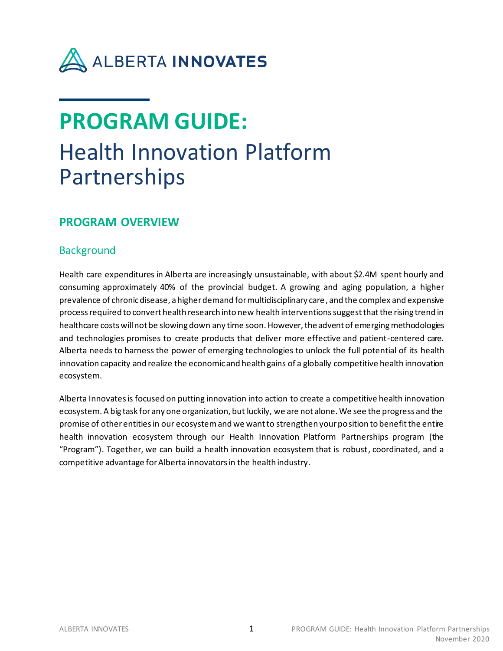

# **PROGRAM GUIDE:** Health Innovation Platform Partnerships

## **PROGRAM OVERVIEW**

## **Background**

Health care expenditures in Alberta are increasingly unsustainable, with about \$2.4M spent hourly and consuming approximately 40% of the provincial budget. A growing and aging population, a higher prevalence of chronic disease, a higher demand for multidisciplinary care, and the complex and expensive process required to convert health research into new health interventionssuggest that the rising trend in healthcare costs will not be slowing down any time soon. However, the advent of emerging methodologies and technologies promises to create products that deliver more effective and patient-centered care. Alberta needs to harness the power of emerging technologies to unlock the full potential of its health innovation capacity and realize the economic and health gains of a globally competitive health innovation ecosystem.

Alberta Innovates is focused on putting innovation into action to create a competitive health innovation ecosystem. A big task for any one organization, but luckily, we are not alone. We see the progress and the promise of other entities in our ecosystem and we want to strengthen your position to benefit the entire health innovation ecosystem through our Health Innovation Platform Partnerships program (the "Program"). Together, we can build a health innovation ecosystem that is robust, coordinated, and a competitive advantage for Alberta innovators in the health industry.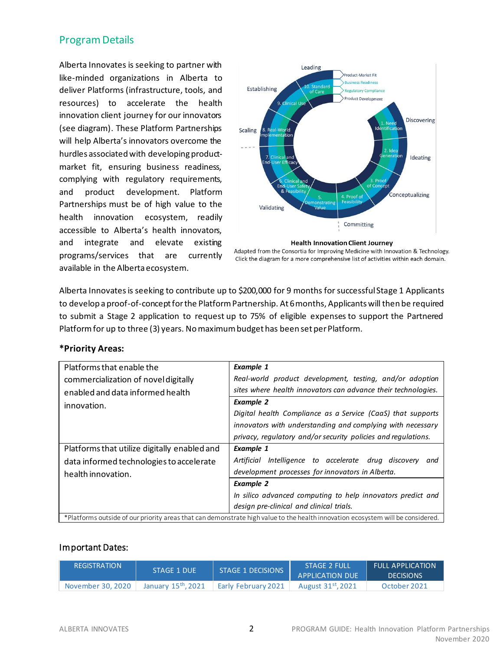## Program Details

Alberta Innovates is seeking to partner with like-minded organizations in Alberta to deliver Platforms (infrastructure, tools, and resources) to accelerate the health innovation client journey for our innovators (see diagram). These Platform Partnerships will help Alberta's innovators overcome the hurdles associated with developing productmarket fit, ensuring business readiness, complying with regulatory requirements, and product development. Platform Partnerships must be of high value to the health innovation ecosystem, readily accessible to Alberta's health innovators, and integrate and elevate existing programs/services that are currently available in the Alberta ecosystem.



#### **Health Innovation Client Journey**

Adapted from the Consortia for Improving Medicine with Innovation & Technology. Click the diagram for a more comprehensive list of activities within each domain.

Alberta Innovates is seeking to contribute up to \$200,000 for 9 months for successful Stage 1 Applicants to develop a proof-of-concept for the Platform Partnership. At 6 months, Applicants will then be required to submit a Stage 2 application to request up to 75% of eligible expenses to support the Partnered Platform for up to three (3) years. No maximum budget has been set per Platform.

| Platforms that enable the<br>commercialization of novel digitally<br>enabled and data informed health<br>innovation.            | <b>Example 1</b><br>Real-world product development, testing, and/or adoption<br>sites where health innovators can advance their technologies.<br><b>Example 2</b><br>Digital health Compliance as a Service (CaaS) that supports |  |  |  |
|---------------------------------------------------------------------------------------------------------------------------------|----------------------------------------------------------------------------------------------------------------------------------------------------------------------------------------------------------------------------------|--|--|--|
|                                                                                                                                 | innovators with understanding and complying with necessary<br>privacy, regulatory and/or security policies and regulations.                                                                                                      |  |  |  |
| Platforms that utilize digitally enabled and                                                                                    | <b>Example 1</b>                                                                                                                                                                                                                 |  |  |  |
| data informed technologies to accelerate                                                                                        | Intelligence to accelerate drug discovery<br>Artificial<br>and                                                                                                                                                                   |  |  |  |
| health innovation.                                                                                                              | development processes for innovators in Alberta.                                                                                                                                                                                 |  |  |  |
|                                                                                                                                 | <b>Example 2</b>                                                                                                                                                                                                                 |  |  |  |
|                                                                                                                                 | In silico advanced computing to help innovators predict and                                                                                                                                                                      |  |  |  |
|                                                                                                                                 | design pre-clinical and clinical trials.                                                                                                                                                                                         |  |  |  |
| *Platforms outside of our priority areas that can demonstrate high value to the health innovation ecosystem will be considered. |                                                                                                                                                                                                                                  |  |  |  |

### **\*Priority Areas:**

#### Important Dates:

| <b>REGISTRATION</b> | STAGE 1 DUE        | STAGE 1 DECISIONS   | <b>STAGE 2 FULL</b><br><b>APPLICATION DUE</b> | <b>FULL APPLICATION</b><br><b>DECISIONS</b> |
|---------------------|--------------------|---------------------|-----------------------------------------------|---------------------------------------------|
| November 30, 2020   | January 15th, 2021 | Early February 2021 | August 31 <sup>st</sup> , 2021                | October 2021                                |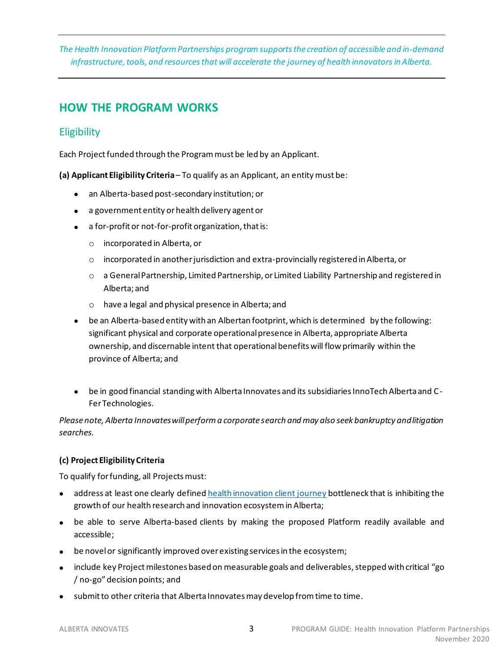*The Health Innovation Platform Partnerships programsupports the creation of accessible and in-demand infrastructure, tools, and resources that will accelerate the journey of health innovators in Alberta.* 

# **HOW THE PROGRAM WORKS**

## **Eligibility**

Each Project funded through the Program must be led by an Applicant.

**(a) Applicant Eligibility Criteria**– To qualify as an Applicant, an entity must be:

- an Alberta-based post-secondary institution; or
- a government entity or health delivery agent or
- a for-profit or not-for-profit organization, that is:
	- o incorporated in Alberta, or
	- $\circ$  incorporated in another jurisdiction and extra-provincially registered in Alberta, or
	- o a General Partnership, Limited Partnership, or Limited Liability Partnership and registered in Alberta; and
	- o have a legal and physical presence in Alberta; and
- be an Alberta-based entity with an Albertan footprint, which is determined by the following: significant physical and corporate operational presence in Alberta, appropriate Alberta ownership, and discernable intent that operational benefits will flow primarily within the province of Alberta; and
- be in good financial standing with Alberta Innovates and its subsidiaries InnoTech Alberta and C-Fer Technologies.

*Please note, Alberta Innovates will perform a corporate search and may also seek bankruptcy and litigation searches.*

## **(c) Project Eligibility Criteria**

To qualify for funding, all Projects must:

- address at least one clearly define[d health innovation client journey](https://albertainnovates.smartsimple.ca/files/646815/f125423/AI_Health_Innovation_-_Intake_Checklist.docx) bottleneck that is inhibiting the growth of our health research and innovation ecosystemin Alberta;
- be able to serve Alberta-based clients by making the proposed Platform readily available and accessible;
- be novelor significantly improved over existing services in the ecosystem;
- include key Project milestones based on measurable goals and deliverables,stepped with critical "go / no-go" decision points; and
- submit to other criteria that Alberta Innovates may develop from time to time.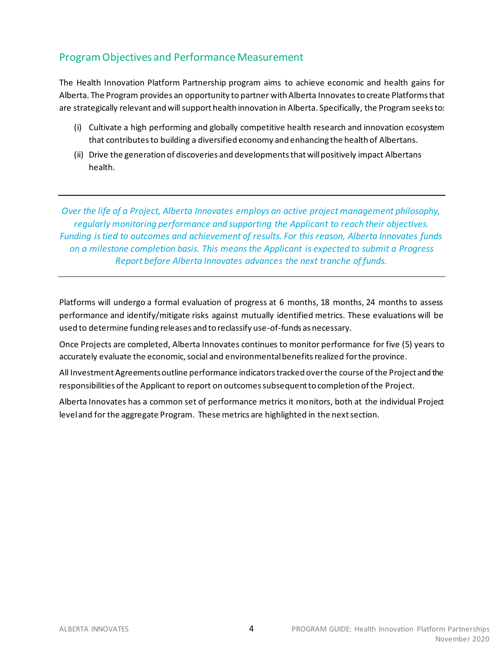## Program Objectives and Performance Measurement

The Health Innovation Platform Partnership program aims to achieve economic and health gains for Alberta. The Program provides an opportunity to partner with Alberta Innovates to create Platformsthat are strategically relevant and will support health innovation in Alberta. Specifically, the Program seeks to:

- (i) Cultivate a high performing and globally competitive health research and innovation ecosystem that contributesto building a diversified economy and enhancing the health of Albertans.
- (ii) Drive the generation of discoveries and developments that will positively impact Albertans health.

*Over the life of a Project, Alberta Innovates employs an active project management philosophy, regularly monitoring performance and supporting the Applicant to reach their objectives. Funding is tied to outcomes and achievement of results. For this reason, Alberta Innovates funds on a milestone completion basis. This means the Applicant is expected to submit a Progress Report before Alberta Innovates advances the next tranche of funds.*

Platforms will undergo a formal evaluation of progress at 6 months, 18 months, 24 months to assess performance and identify/mitigate risks against mutually identified metrics. These evaluations will be used to determine funding releases and to reclassify use-of-funds as necessary.

Once Projects are completed, Alberta Innovates continues to monitor performance for five (5) years to accurately evaluate the economic, social and environmental benefits realized for the province.

All Investment Agreementsoutline performance indicators tracked over the course of the Project and the responsibilities of the Applicant to report on outcomes subsequent to completion of the Project.

Alberta Innovates has a common set of performance metrics it monitors, both at the individual Project level and for the aggregate Program. These metrics are highlighted in the next section.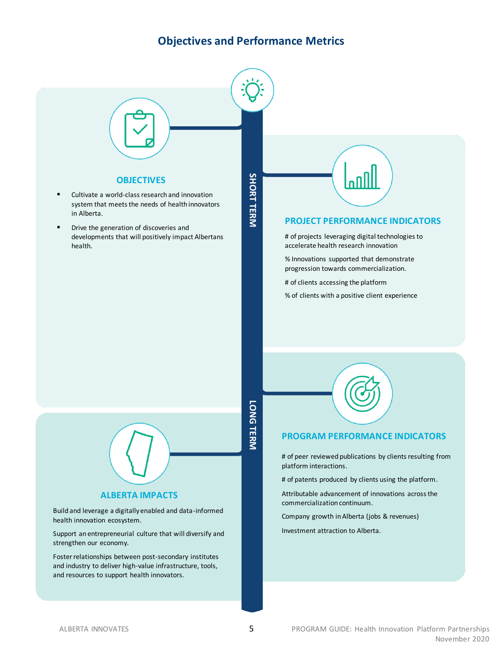## **Objectives and Performance Metrics**

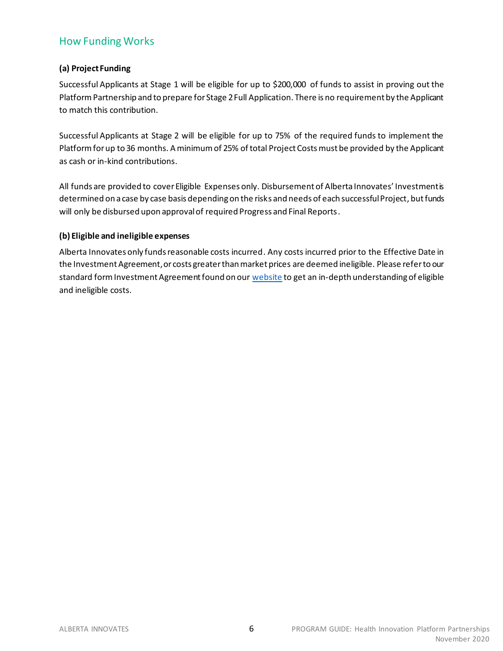## How Funding Works

## **(a) Project Funding**

Successful Applicants at Stage 1 will be eligible for up to \$200,000 of funds to assist in proving out the Platform Partnership and to prepare for Stage 2 Full Application. There is no requirement by the Applicant to match this contribution.

Successful Applicants at Stage 2 will be eligible for up to 75% of the required funds to implement the Platform for up to 36 months. A minimum of 25% of total Project Costs must be provided by the Applicant as cash or in-kind contributions.

All funds are provided to cover Eligible Expenses only. Disbursement of Alberta Innovates' Investmentis determined on a case by case basis depending on the risks and needs of each successful Project, but funds will only be disbursed upon approval of required Progress and Final Reports.

### **(b) Eligible and ineligible expenses**

Alberta Innovates only funds reasonable costs incurred. Any costs incurred prior to the Effective Date in the Investment Agreement, or costs greater than market prices are deemed ineligible. Please refer to our standard form Investment Agreement found on ou[r website](https://albertainnovates.ca/programs/health-innovation-platform-partnerships/) to get an in-depth understanding of eligible and ineligible costs.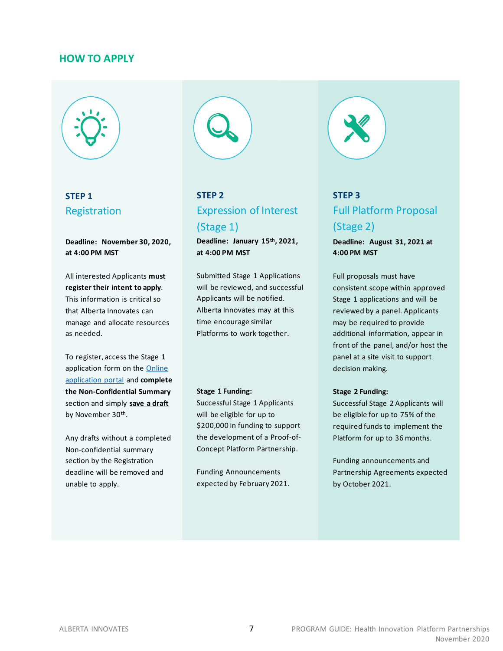### **HOW TO APPLY**



**STEP 1** Registration

**Deadline: November 30, 2020, at 4:00 PM MST**

All interested Applicants **must register their intent to apply**. This information is critical so that Alberta Innovates can manage and allocate resources as needed.

To register, access the Stage 1 application form on the Online [application portal](https://albertainnovates.smartsimple.ca/) and **complete the Non-Confidential Summary** section and simply **save a draft** by November 30th.

Any drafts without a completed Non-confidential summary section by the Registration deadline will be removed and unable to apply.



# **STEP 2** Expression of Interest (Stage 1)

**Deadline: January 15th, 2021, at 4:00 PM MST**

Submitted Stage 1 Applications will be reviewed, and successful Applicants will be notified. Alberta Innovates may at this time encourage similar Platforms to work together.

#### **Stage 1 Funding:**

Successful Stage 1 Applicants will be eligible for up to \$200,000 in funding to support the development of a Proof-of-Concept Platform Partnership.

Funding Announcements expected by February 2021.



# **STEP 3** Full Platform Proposal (Stage 2)

**Deadline: August 31, 2021 at 4:00 PM MST**

Full proposals must have consistent scope within approved Stage 1 applications and will be reviewed by a panel. Applicants may be required to provide additional information, appear in front of the panel, and/or host the panel at a site visit to support decision making.

#### **Stage 2 Funding:**

Successful Stage 2 Applicants will be eligible for up to 75% of the required funds to implement the Platform for up to 36 months.

Funding announcements and Partnership Agreements expected by October 2021.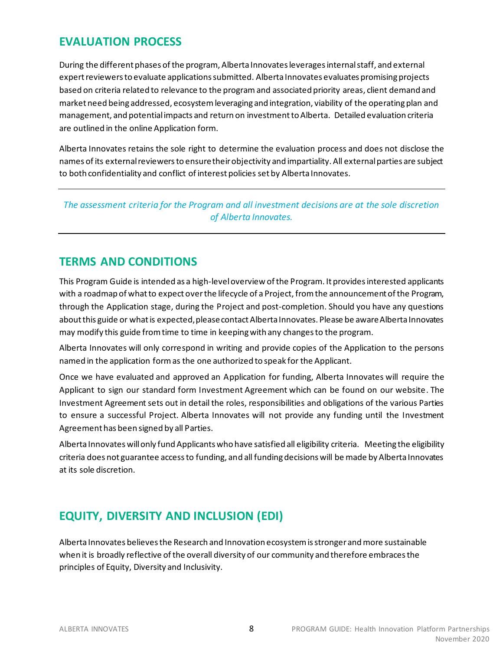## **EVALUATION PROCESS**

During the different phases of the program, Alberta Innovates leverages internal staff, and external expert reviewers to evaluate applications submitted. Alberta Innovates evaluates promising projects based on criteria related to relevance to the programand associated priority areas, client demand and market need being addressed, ecosystem leveraging and integration, viability of the operating plan and management, and potential impacts and return on investment to Alberta. Detailed evaluation criteria are outlined in the online Application form.

Alberta Innovates retains the sole right to determine the evaluation process and does not disclose the names of its external reviewers to ensure their objectivity and impartiality. All external parties are subject to both confidentiality and conflict of interest policies set by Alberta Innovates.

*The assessment criteria for the Program and all investment decisions are at the sole discretion of Alberta Innovates.*

## **TERMS AND CONDITIONS**

This Program Guide is intended as a high-level overview of the Program. It provides interested applicants with a roadmap of what to expect over the lifecycle of a Project, from the announcement of the Program, through the Application stage, during the Project and post-completion. Should you have any questions about this guide or what is expected, please contact Alberta Innovates. Please be aware Alberta Innovates may modify this guide from time to time in keeping with any changes to the program.

Alberta Innovates will only correspond in writing and provide copies of the Application to the persons named in the application form as the one authorized to speak for the Applicant.

Once we have evaluated and approved an Application for funding, Alberta Innovates will require the Applicant to sign our standard form Investment Agreement which can be found on our website. The Investment Agreement sets out in detail the roles, responsibilities and obligations of the various Parties to ensure a successful Project. Alberta Innovates will not provide any funding until the Investment Agreement has been signed by all Parties.

Alberta Innovates will only fund Applicants who have satisfied all eligibility criteria. Meeting the eligibility criteria does not guarantee access to funding, and all funding decisions will be made by Alberta Innovates at its sole discretion.

## **EQUITY, DIVERSITY AND INCLUSION (EDI)**

Alberta Innovates believes the Research and Innovation ecosystem is stronger and more sustainable when it is broadly reflective of the overall diversity of our community and therefore embraces the principles of Equity, Diversity and Inclusivity.